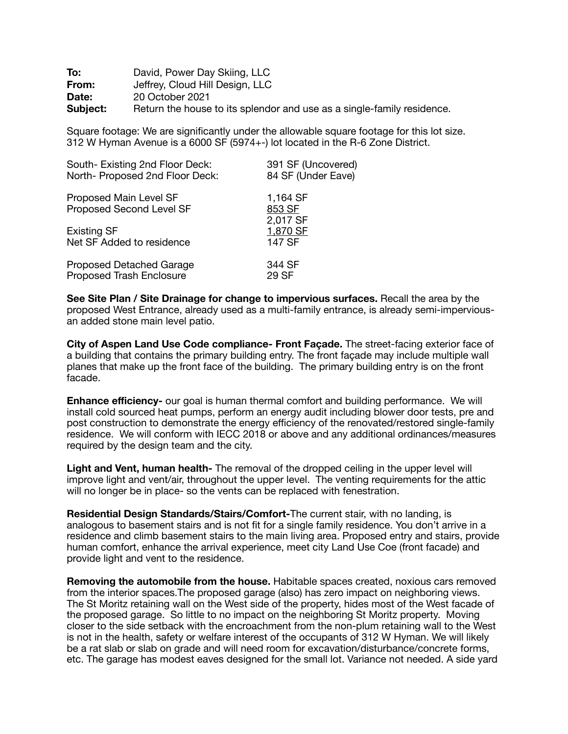| To:      | David, Power Day Skiing, LLC                                           |
|----------|------------------------------------------------------------------------|
| From:    | Jeffrey, Cloud Hill Design, LLC                                        |
| Date:    | 20 October 2021                                                        |
| Subject: | Return the house to its splendor and use as a single-family residence. |

Square footage: We are significantly under the allowable square footage for this lot size. 312 W Hyman Avenue is a 6000 SF (5974+-) lot located in the R-6 Zone District.

| South-Existing 2nd Floor Deck:                     | 391 SF (Uncovered)             |
|----------------------------------------------------|--------------------------------|
| North- Proposed 2nd Floor Deck:                    | 84 SF (Under Eave)             |
| Proposed Main Level SF<br>Proposed Second Level SF | 1,164 SF<br>853 SF<br>2,017 SF |
| <b>Existing SF</b>                                 | 1,870 SF                       |
| Net SF Added to residence                          | 147 SF                         |
| <b>Proposed Detached Garage</b>                    | 344 SF                         |
| <b>Proposed Trash Enclosure</b>                    | 29 SF                          |

**See Site Plan / Site Drainage for change to impervious surfaces.** Recall the area by the proposed West Entrance, already used as a multi-family entrance, is already semi-imperviousan added stone main level patio.

**City of Aspen Land Use Code compliance- Front Façade.** The street-facing exterior face of a building that contains the primary building entry. The front façade may include multiple wall planes that make up the front face of the building. The primary building entry is on the front facade.

**Enhance efficiency-** our goal is human thermal comfort and building performance. We will install cold sourced heat pumps, perform an energy audit including blower door tests, pre and post construction to demonstrate the energy efficiency of the renovated/restored single-family residence. We will conform with IECC 2018 or above and any additional ordinances/measures required by the design team and the city.

**Light and Vent, human health-** The removal of the dropped ceiling in the upper level will improve light and vent/air, throughout the upper level. The venting requirements for the attic will no longer be in place- so the vents can be replaced with fenestration.

**Residential Design Standards/Stairs/Comfort-**The current stair, with no landing, is analogous to basement stairs and is not fit for a single family residence. You don't arrive in a residence and climb basement stairs to the main living area. Proposed entry and stairs, provide human comfort, enhance the arrival experience, meet city Land Use Coe (front facade) and provide light and vent to the residence.

**Removing the automobile from the house.** Habitable spaces created, noxious cars removed from the interior spaces.The proposed garage (also) has zero impact on neighboring views. The St Moritz retaining wall on the West side of the property, hides most of the West facade of the proposed garage. So little to no impact on the neighboring St Moritz property. Moving closer to the side setback with the encroachment from the non-plum retaining wall to the West is not in the health, safety or welfare interest of the occupants of 312 W Hyman. We will likely be a rat slab or slab on grade and will need room for excavation/disturbance/concrete forms, etc. The garage has modest eaves designed for the small lot. Variance not needed. A side yard